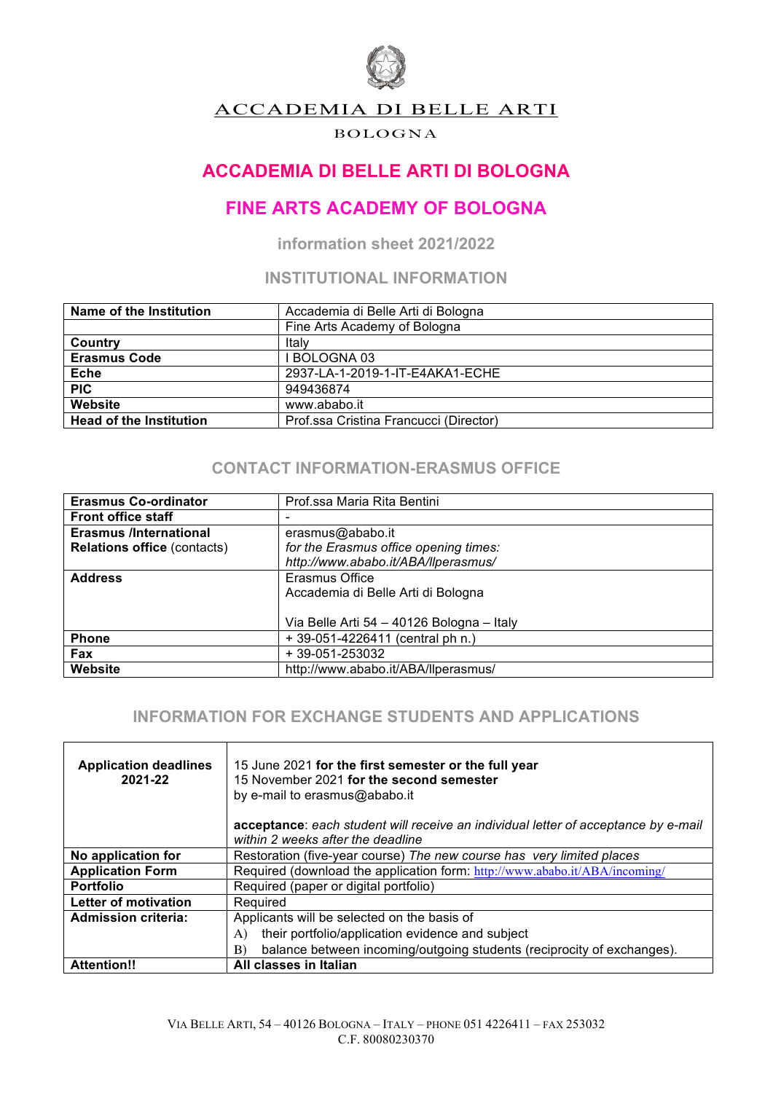

## ACCADEMIA DI BELLE ARTI

#### BOLOGNA

# **ACCADEMIA DI BELLE ARTI DI BOLOGNA**

# **FINE ARTS ACADEMY OF BOLOGNA**

**information sheet 2021/2022**

## **INSTITUTIONAL INFORMATION**

| Name of the Institution        | Accademia di Belle Arti di Bologna     |
|--------------------------------|----------------------------------------|
|                                | Fine Arts Academy of Bologna           |
| Country                        | Italv                                  |
| <b>Erasmus Code</b>            | <b>BOLOGNA 03</b>                      |
| <b>Eche</b>                    | 2937-LA-1-2019-1-IT-E4AKA1-ECHE        |
| <b>PIC</b>                     | 949436874                              |
| Website                        | www.ababo.it                           |
| <b>Head of the Institution</b> | Prof.ssa Cristina Francucci (Director) |

### **CONTACT INFORMATION-ERASMUS OFFICE**

| <b>Erasmus Co-ordinator</b>        | Prof.ssa Maria Rita Bentini               |
|------------------------------------|-------------------------------------------|
| <b>Front office staff</b>          |                                           |
| <b>Erasmus /International</b>      | erasmus@ababo.it                          |
| <b>Relations office (contacts)</b> | for the Erasmus office opening times:     |
|                                    | http://www.ababo.it/ABA/llperasmus/       |
| <b>Address</b>                     | Erasmus Office                            |
|                                    | Accademia di Belle Arti di Bologna        |
|                                    |                                           |
|                                    | Via Belle Arti 54 - 40126 Bologna - Italy |
| <b>Phone</b>                       | $+39-051-4226411$ (central ph n.)         |
| <b>Fax</b>                         | + 39-051-253032                           |
| <b>Website</b>                     | http://www.ababo.it/ABA/llperasmus/       |

## **INFORMATION FOR EXCHANGE STUDENTS AND APPLICATIONS**

| <b>Application deadlines</b><br>2021-22 | 15 June 2021 for the first semester or the full year<br>15 November 2021 for the second semester<br>by e-mail to erasmus@ababo.it<br>acceptance: each student will receive an individual letter of acceptance by e-mail<br>within 2 weeks after the deadline |
|-----------------------------------------|--------------------------------------------------------------------------------------------------------------------------------------------------------------------------------------------------------------------------------------------------------------|
| No application for                      | Restoration (five-year course) The new course has very limited places                                                                                                                                                                                        |
| <b>Application Form</b>                 | Required (download the application form: http://www.ababo.it/ABA/incoming/                                                                                                                                                                                   |
| <b>Portfolio</b>                        | Required (paper or digital portfolio)                                                                                                                                                                                                                        |
| Letter of motivation                    | Required                                                                                                                                                                                                                                                     |
| <b>Admission criteria:</b>              | Applicants will be selected on the basis of                                                                                                                                                                                                                  |
|                                         | their portfolio/application evidence and subject<br>A)                                                                                                                                                                                                       |
|                                         | balance between incoming/outgoing students (reciprocity of exchanges).<br>B)                                                                                                                                                                                 |
| <b>Attention!!</b>                      | All classes in Italian                                                                                                                                                                                                                                       |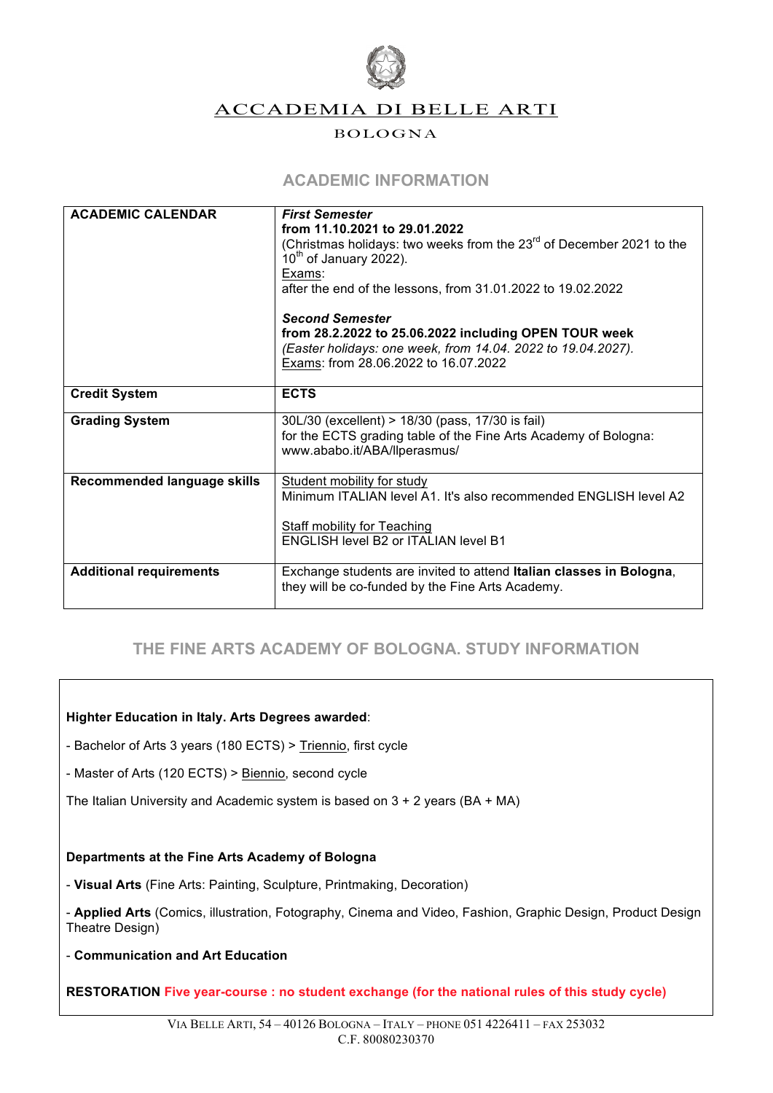

ACCADEMIA DI BELLE ARTI

#### BOLOGNA

## **ACADEMIC INFORMATION**

| <b>ACADEMIC CALENDAR</b>       | <b>First Semester</b>                                                            |
|--------------------------------|----------------------------------------------------------------------------------|
|                                | from 11.10.2021 to 29.01.2022                                                    |
|                                |                                                                                  |
|                                | (Christmas holidays: two weeks from the 23 <sup>rd</sup> of December 2021 to the |
|                                | $10th$ of January 2022).                                                         |
|                                | Exams:                                                                           |
|                                | after the end of the lessons, from 31.01.2022 to 19.02.2022                      |
|                                | <b>Second Semester</b>                                                           |
|                                | from 28.2.2022 to 25.06.2022 including OPEN TOUR week                            |
|                                | (Easter holidays: one week, from 14.04. 2022 to 19.04.2027).                     |
|                                | Exams: from 28.06.2022 to 16.07.2022                                             |
|                                |                                                                                  |
| <b>Credit System</b>           | <b>ECTS</b>                                                                      |
|                                |                                                                                  |
| <b>Grading System</b>          | 30L/30 (excellent) > 18/30 (pass, 17/30 is fail)                                 |
|                                | for the ECTS grading table of the Fine Arts Academy of Bologna:                  |
|                                | www.ababo.it/ABA/llperasmus/                                                     |
|                                |                                                                                  |
| Recommended language skills    | Student mobility for study                                                       |
|                                | Minimum ITALIAN level A1. It's also recommended ENGLISH level A2                 |
|                                |                                                                                  |
|                                |                                                                                  |
|                                | <b>Staff mobility for Teaching</b>                                               |
|                                | <b>ENGLISH level B2 or ITALIAN level B1</b>                                      |
|                                |                                                                                  |
| <b>Additional requirements</b> | Exchange students are invited to attend Italian classes in Bologna,              |
|                                | they will be co-funded by the Fine Arts Academy.                                 |
|                                |                                                                                  |

## **THE FINE ARTS ACADEMY OF BOLOGNA. STUDY INFORMATION**

#### **Highter Education in Italy. Arts Degrees awarded**:

- Bachelor of Arts 3 years (180 ECTS) > Triennio, first cycle
- Master of Arts (120 ECTS) > Biennio, second cycle
- The Italian University and Academic system is based on  $3 + 2$  years (BA + MA)

#### **Departments at the Fine Arts Academy of Bologna**

- **Visual Arts** (Fine Arts: Painting, Sculpture, Printmaking, Decoration)
- **Applied Arts** (Comics, illustration, Fotography, Cinema and Video, Fashion, Graphic Design, Product Design Theatre Design)
- **Communication and Art Education**
- **RESTORATION Five year-course : no student exchange (for the national rules of this study cycle)**